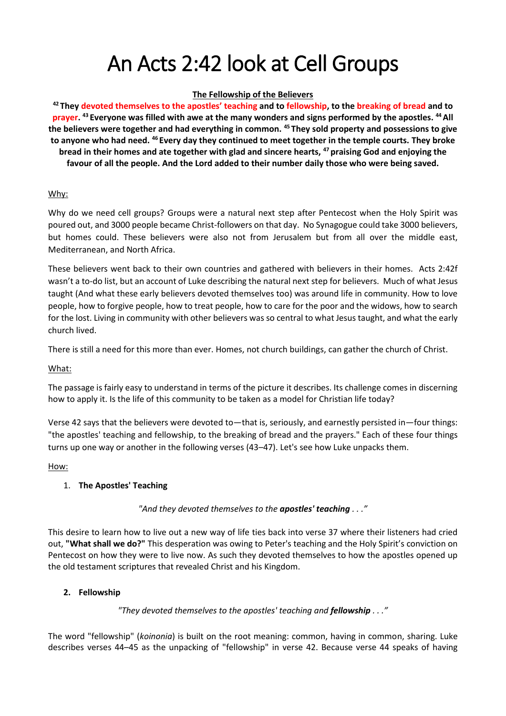# An Acts 2:42 look at Cell Groups

### **The Fellowship of the Believers**

**<sup>42</sup> They devoted themselves to the apostles' teaching and to fellowship, to the breaking of bread and to prayer. <sup>43</sup> Everyone was filled with awe at the many wonders and signs performed by the apostles. <sup>44</sup>All the believers were together and had everything in common. <sup>45</sup> They sold property and possessions to give to anyone who had need. <sup>46</sup> Every day they continued to meet together in the temple courts. They broke bread in their homes and ate together with glad and sincere hearts, <sup>47</sup> praising God and enjoying the favour of all the people. And the Lord added to their number daily those who were being saved.**

## Why:

Why do we need cell groups? Groups were a natural next step after Pentecost when the Holy Spirit was poured out, and 3000 people became Christ-followers on that day. No Synagogue could take 3000 believers, but homes could. These believers were also not from Jerusalem but from all over the middle east, Mediterranean, and North Africa.

These believers went back to their own countries and gathered with believers in their homes. Acts 2:42f wasn't a to-do list, but an account of Luke describing the natural next step for believers. Much of what Jesus taught (And what these early believers devoted themselves too) was around life in community. How to love people, how to forgive people, how to treat people, how to care for the poor and the widows, how to search for the lost. Living in community with other believers was so central to what Jesus taught, and what the early church lived.

There is still a need for this more than ever. Homes, not church buildings, can gather the church of Christ.

#### What:

The passage is fairly easy to understand in terms of the picture it describes. Its challenge comes in discerning how to apply it. Is the life of this community to be taken as a model for Christian life today?

Verse 42 says that the believers were devoted to—that is, seriously, and earnestly persisted in—four things: "the apostles' teaching and fellowship, to the breaking of bread and the prayers." Each of these four things turns up one way or another in the following verses (43–47). Let's see how Luke unpacks them.

#### How:

## 1. **The Apostles' Teaching**

## *"And they devoted themselves to the apostles' teaching . . ."*

This desire to learn how to live out a new way of life ties back into verse 37 where their listeners had cried out, **"What shall we do?"** This desperation was owing to Peter's teaching and the Holy Spirit's conviction on Pentecost on how they were to live now. As such they devoted themselves to how the apostles opened up the old testament scriptures that revealed Christ and his Kingdom.

#### **2. Fellowship**

## *"They devoted themselves to the apostles' teaching and fellowship . . ."*

The word "fellowship" (*koinonia*) is built on the root meaning: common, having in common, sharing. Luke describes verses 44–45 as the unpacking of "fellowship" in verse 42. Because verse 44 speaks of having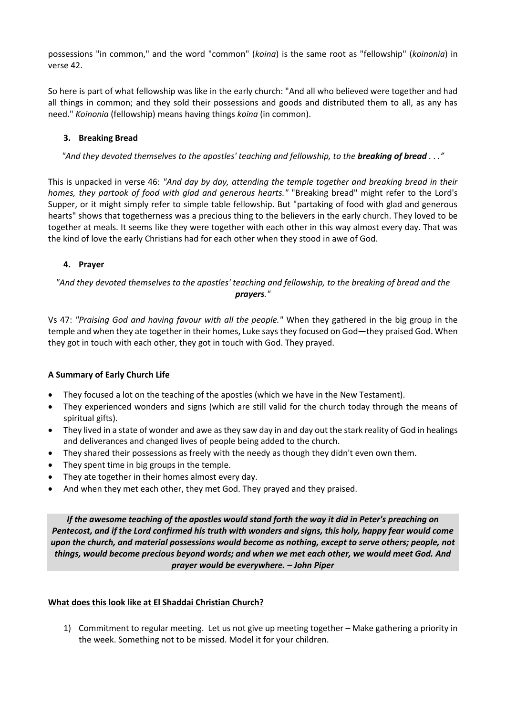possessions "in common," and the word "common" (*koina*) is the same root as "fellowship" (*koinonia*) in verse 42.

So here is part of what fellowship was like in the early church: "And all who believed were together and had all things in common; and they sold their possessions and goods and distributed them to all, as any has need." *Koinonia* (fellowship) means having things *koina* (in common).

## **3. Breaking Bread**

*"And they devoted themselves to the apostles' teaching and fellowship, to the breaking of bread . . ."*

This is unpacked in verse 46: *"And day by day, attending the temple together and breaking bread in their homes, they partook of food with glad and generous hearts."* "Breaking bread" might refer to the Lord's Supper, or it might simply refer to simple table fellowship. But "partaking of food with glad and generous hearts" shows that togetherness was a precious thing to the believers in the early church. They loved to be together at meals. It seems like they were together with each other in this way almost every day. That was the kind of love the early Christians had for each other when they stood in awe of God.

## **4. Prayer**

*"And they devoted themselves to the apostles' teaching and fellowship, to the breaking of bread and the prayers."*

Vs 47: *"Praising God and having favour with all the people."* When they gathered in the big group in the temple and when they ate together in their homes, Luke says they focused on God—they praised God. When they got in touch with each other, they got in touch with God. They prayed.

## **A Summary of Early Church Life**

- They focused a lot on the teaching of the apostles (which we have in the New Testament).
- They experienced wonders and signs (which are still valid for the church today through the means of spiritual gifts).
- They lived in a state of wonder and awe as they saw day in and day out the stark reality of God in healings and deliverances and changed lives of people being added to the church.
- They shared their possessions as freely with the needy as though they didn't even own them.
- They spent time in big groups in the temple.
- They ate together in their homes almost every day.
- And when they met each other, they met God. They prayed and they praised.

*If the awesome teaching of the apostles would stand forth the way it did in Peter's preaching on Pentecost, and if the Lord confirmed his truth with wonders and signs, this holy, happy fear would come upon the church, and material possessions would become as nothing, except to serve others; people, not things, would become precious beyond words; and when we met each other, we would meet God. And prayer would be everywhere. – John Piper*

## **What does this look like at El Shaddai Christian Church?**

1) Commitment to regular meeting. Let us not give up meeting together – Make gathering a priority in the week. Something not to be missed. Model it for your children.